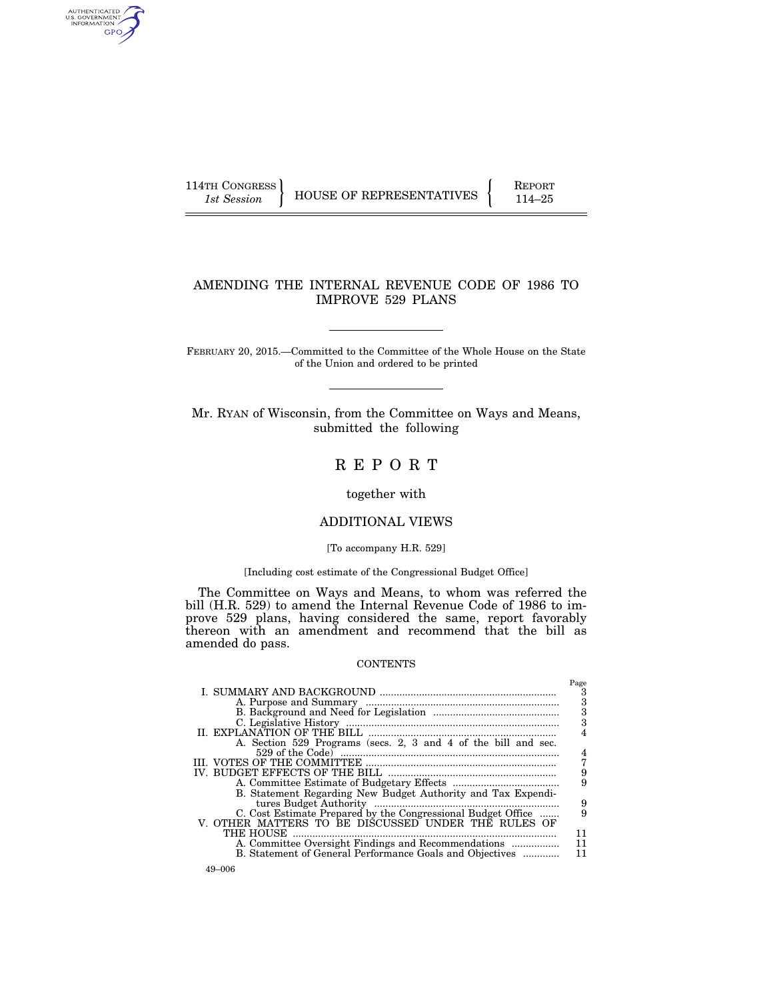AUTHENTICATED<br>U.S. GOVERNMENT<br>INFORMATION GPO

114TH CONGRESS HOUSE OF REPRESENTATIVES FEPORT 114–25

# AMENDING THE INTERNAL REVENUE CODE OF 1986 TO IMPROVE 529 PLANS

FEBRUARY 20, 2015.—Committed to the Committee of the Whole House on the State of the Union and ordered to be printed

Mr. RYAN of Wisconsin, from the Committee on Ways and Means, submitted the following

R E P O R T

together with

## ADDITIONAL VIEWS

## [To accompany H.R. 529]

#### [Including cost estimate of the Congressional Budget Office]

The Committee on Ways and Means, to whom was referred the bill (H.R. 529) to amend the Internal Revenue Code of 1986 to improve 529 plans, having considered the same, report favorably thereon with an amendment and recommend that the bill as amended do pass.

#### **CONTENTS**

| A. Section 529 Programs (secs. 2, 3 and 4 of the bill and sec.                                                               | Page<br>З<br>3<br>3<br>9<br>9 |
|------------------------------------------------------------------------------------------------------------------------------|-------------------------------|
| B. Statement Regarding New Budget Authority and Tax Expendi-<br>C. Cost Estimate Prepared by the Congressional Budget Office | 9<br>9                        |
| V. OTHER MATTERS TO BE DIŠCUSSED UNDER THE RULES OF<br>THE HOUSE<br>B. Statement of General Performance Goals and Objectives | 11<br>11<br>11                |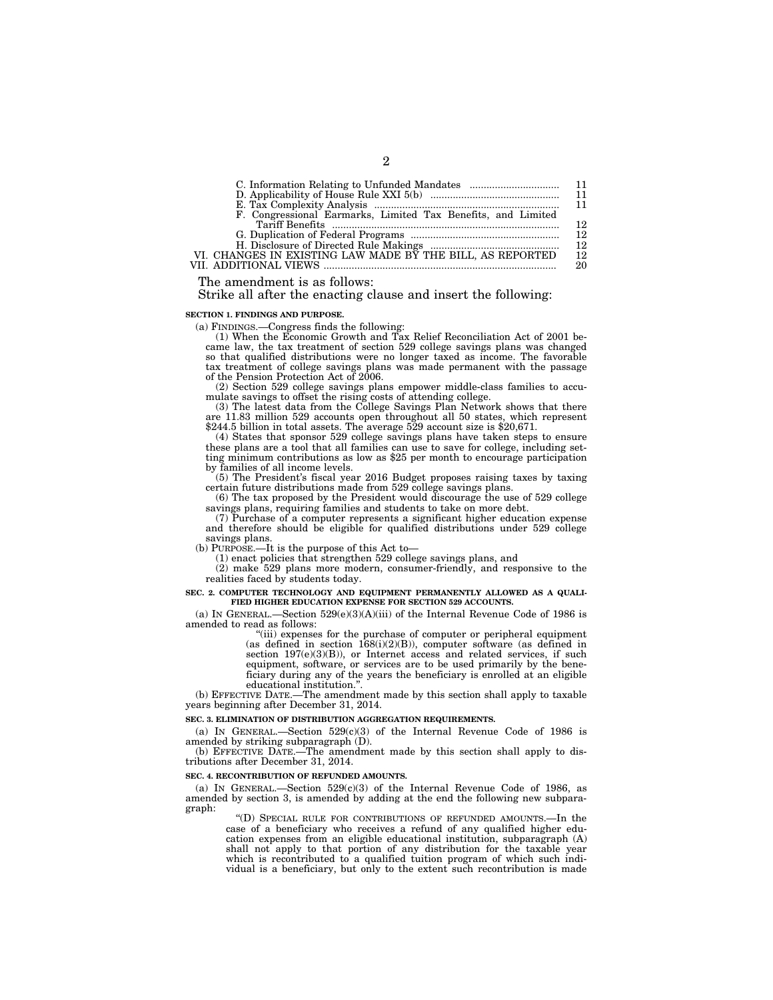| F. Congressional Earmarks, Limited Tax Benefits, and Limited<br>VI. CHANGES IN EXISTING LAW MADE BY THE BILL. AS REPORTED | -11-<br>11<br>11<br>12<br>12<br>12<br>12 |
|---------------------------------------------------------------------------------------------------------------------------|------------------------------------------|
|                                                                                                                           |                                          |
|                                                                                                                           | 20                                       |
|                                                                                                                           |                                          |

#### The amendment is as follows:

Strike all after the enacting clause and insert the following:

#### **SECTION 1. FINDINGS AND PURPOSE.**

(a) FINDINGS.—Congress finds the following:

(1) When the Economic Growth and Tax Relief Reconciliation Act of 2001 became law, the tax treatment of section 529 college savings plans was changed so that qualified distributions were no longer taxed as income. The favorable tax treatment of college savings plans was made permanent with the passage of the Pension Protection Act of 2006.

(2) Section 529 college savings plans empower middle-class families to accumulate savings to offset the rising costs of attending college.

(3) The latest data from the College Savings Plan Network shows that there are 11.83 million 529 accounts open throughout all 50 states, which represent \$244.5 billion in total assets. The average 529 account size is \$20,671.

(4) States that sponsor 529 college savings plans have taken steps to ensure these plans are a tool that all families can use to save for college, including setting minimum contributions as low as \$25 per month to encourage participation by families of all income levels.

(5) The President's fiscal year 2016 Budget proposes raising taxes by taxing certain future distributions made from 529 college savings plans.

(6) The tax proposed by the President would discourage the use of 529 college savings plans, requiring families and students to take on more debt.

(7) Purchase of a computer represents a significant higher education expense and therefore should be eligible for qualified distributions under 529 college savings plans.

(b) PURPOSE.—It is the purpose of this Act to—

(1) enact policies that strengthen 529 college savings plans, and

(2) make 529 plans more modern, consumer-friendly, and responsive to the realities faced by students today.

#### **SEC. 2. COMPUTER TECHNOLOGY AND EQUIPMENT PERMANENTLY ALLOWED AS A QUALI-FIED HIGHER EDUCATION EXPENSE FOR SECTION 529 ACCOUNTS.**

(a) IN GENERAL.—Section  $529(e)(3)(A)(iii)$  of the Internal Revenue Code of 1986 is amended to read as follows:

''(iii) expenses for the purchase of computer or peripheral equipment (as defined in section  $168(i)(2)(B)$ ), computer software (as defined in section 197(e)(3)(B)), or Internet access and related services, if such equipment, software, or services are to be used primarily by the beneficiary during any of the years the beneficiary is enrolled at an eligible educational institution."

(b) EFFECTIVE DATE.—The amendment made by this section shall apply to taxable years beginning after December 31, 2014.

#### **SEC. 3. ELIMINATION OF DISTRIBUTION AGGREGATION REQUIREMENTS.**

(a) IN GENERAL.—Section  $529(c)(3)$  of the Internal Revenue Code of 1986 is amended by striking subparagraph (D).

(b) EFFECTIVE DATE.—The amendment made by this section shall apply to distributions after December 31, 2014.

#### **SEC. 4. RECONTRIBUTION OF REFUNDED AMOUNTS.**

(a) IN GENERAL.—Section  $529(c)(3)$  of the Internal Revenue Code of 1986, as amended by section 3, is amended by adding at the end the following new subparagraph:

''(D) SPECIAL RULE FOR CONTRIBUTIONS OF REFUNDED AMOUNTS.—In the case of a beneficiary who receives a refund of any qualified higher education expenses from an eligible educational institution, subparagraph (A) shall not apply to that portion of any distribution for the taxable year which is recontributed to a qualified tuition program of which such individual is a beneficiary, but only to the extent such recontribution is made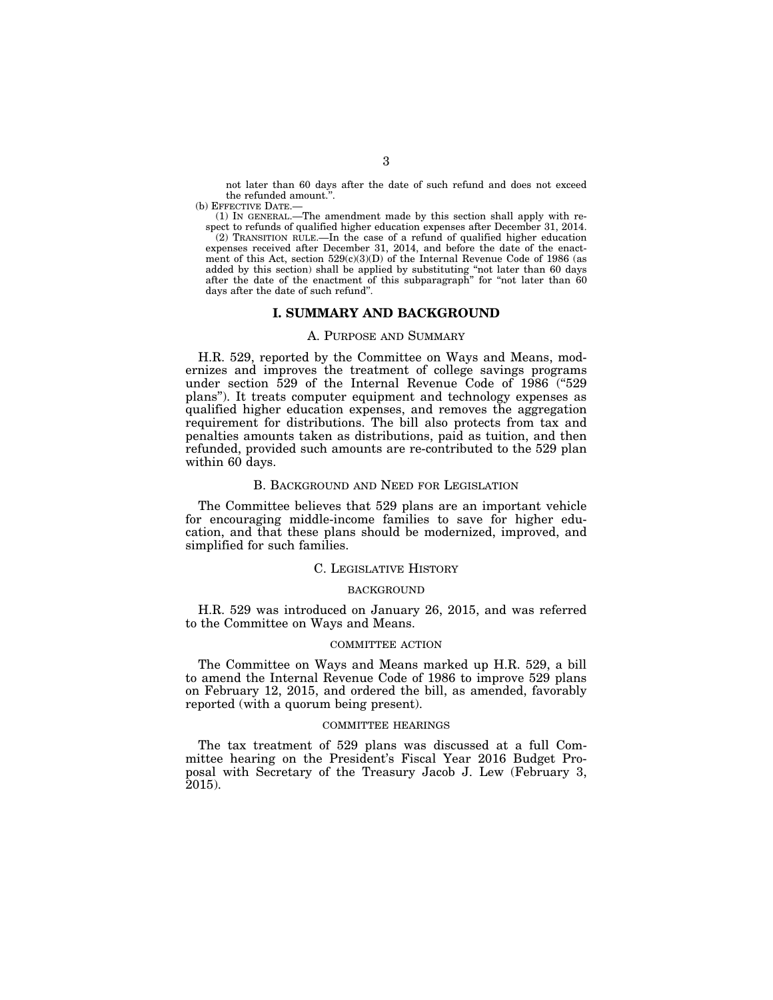not later than 60 days after the date of such refund and does not exceed the refunded amount.''. (b) EFFECTIVE DATE.

(1) IN GENERAL.—The amendment made by this section shall apply with respect to refunds of qualified higher education expenses after December 31, 2014. (2) TRANSITION RULE.—In the case of a refund of qualified higher education expenses received after December 31, 2014, and before the date of the enactment of this Act, section  $529(c)(3)(D)$  of the Internal Revenue Code of 1986 (as added by this section) shall be applied by substituting ''not later than 60 days after the date of the enactment of this subparagraph'' for ''not later than 60 days after the date of such refund''.

## **I. SUMMARY AND BACKGROUND**

## A. PURPOSE AND SUMMARY

H.R. 529, reported by the Committee on Ways and Means, modernizes and improves the treatment of college savings programs under section 529 of the Internal Revenue Code of 1986 (''529 plans''). It treats computer equipment and technology expenses as qualified higher education expenses, and removes the aggregation requirement for distributions. The bill also protects from tax and penalties amounts taken as distributions, paid as tuition, and then refunded, provided such amounts are re-contributed to the 529 plan within 60 days.

#### B. BACKGROUND AND NEED FOR LEGISLATION

The Committee believes that 529 plans are an important vehicle for encouraging middle-income families to save for higher education, and that these plans should be modernized, improved, and simplified for such families.

#### C. LEGISLATIVE HISTORY

## BACKGROUND

H.R. 529 was introduced on January 26, 2015, and was referred to the Committee on Ways and Means.

#### COMMITTEE ACTION

The Committee on Ways and Means marked up H.R. 529, a bill to amend the Internal Revenue Code of 1986 to improve 529 plans on February 12, 2015, and ordered the bill, as amended, favorably reported (with a quorum being present).

#### COMMITTEE HEARINGS

The tax treatment of 529 plans was discussed at a full Committee hearing on the President's Fiscal Year 2016 Budget Proposal with Secretary of the Treasury Jacob J. Lew (February 3,  $2015$ ).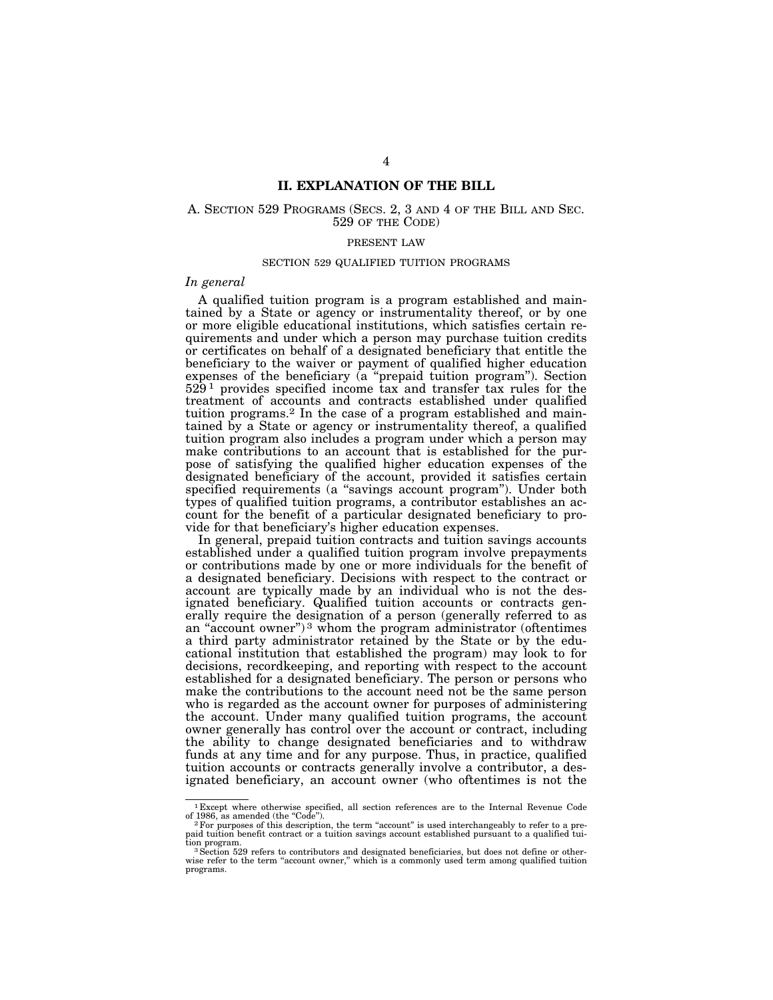# **II. EXPLANATION OF THE BILL**

## A. SECTION 529 PROGRAMS (SECS. 2, 3 AND 4 OF THE BILL AND SEC. 529 OF THE CODE)

#### PRESENT LAW

## SECTION 529 QUALIFIED TUITION PROGRAMS

## *In general*

A qualified tuition program is a program established and maintained by a State or agency or instrumentality thereof, or by one or more eligible educational institutions, which satisfies certain requirements and under which a person may purchase tuition credits or certificates on behalf of a designated beneficiary that entitle the beneficiary to the waiver or payment of qualified higher education expenses of the beneficiary (a ''prepaid tuition program''). Section 529 1 provides specified income tax and transfer tax rules for the treatment of accounts and contracts established under qualified tuition programs.2 In the case of a program established and maintained by a State or agency or instrumentality thereof, a qualified tuition program also includes a program under which a person may make contributions to an account that is established for the purpose of satisfying the qualified higher education expenses of the designated beneficiary of the account, provided it satisfies certain specified requirements (a ''savings account program''). Under both types of qualified tuition programs, a contributor establishes an account for the benefit of a particular designated beneficiary to provide for that beneficiary's higher education expenses.

In general, prepaid tuition contracts and tuition savings accounts established under a qualified tuition program involve prepayments or contributions made by one or more individuals for the benefit of a designated beneficiary. Decisions with respect to the contract or account are typically made by an individual who is not the designated beneficiary. Qualified tuition accounts or contracts generally require the designation of a person (generally referred to as an ''account owner'') 3 whom the program administrator (oftentimes a third party administrator retained by the State or by the educational institution that established the program) may look to for decisions, recordkeeping, and reporting with respect to the account established for a designated beneficiary. The person or persons who make the contributions to the account need not be the same person who is regarded as the account owner for purposes of administering the account. Under many qualified tuition programs, the account owner generally has control over the account or contract, including the ability to change designated beneficiaries and to withdraw funds at any time and for any purpose. Thus, in practice, qualified tuition accounts or contracts generally involve a contributor, a designated beneficiary, an account owner (who oftentimes is not the

 $\rm ^1$  Except where otherwise specified, all section references are to the Internal Revenue Code of 1986, as amended (the "Code").

of 1986, as amended (the "Code").<br><sup>2</sup> For purposes of this description, the term "account" is used interchangeably to refer to a pre-<br>paid tuition benefit contract or a tuition savings account established pursuant to a qua

tion program.<br><sup>3</sup> Section 529 refers to contributors and designated beneficiaries, but does not define or other-<br>wise refer to the term "account owner," which is a commonly used term among qualified tuition programs.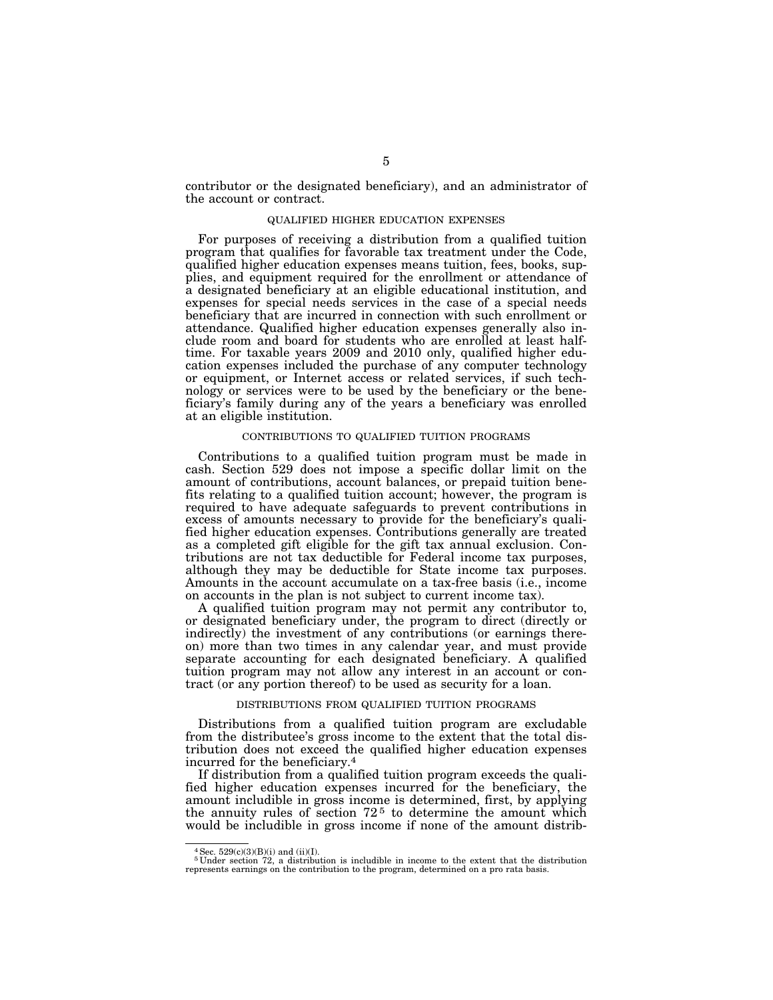contributor or the designated beneficiary), and an administrator of the account or contract.

#### QUALIFIED HIGHER EDUCATION EXPENSES

For purposes of receiving a distribution from a qualified tuition program that qualifies for favorable tax treatment under the Code, qualified higher education expenses means tuition, fees, books, supplies, and equipment required for the enrollment or attendance of a designated beneficiary at an eligible educational institution, and expenses for special needs services in the case of a special needs beneficiary that are incurred in connection with such enrollment or attendance. Qualified higher education expenses generally also include room and board for students who are enrolled at least halftime. For taxable years 2009 and 2010 only, qualified higher education expenses included the purchase of any computer technology or equipment, or Internet access or related services, if such technology or services were to be used by the beneficiary or the beneficiary's family during any of the years a beneficiary was enrolled at an eligible institution.

#### CONTRIBUTIONS TO QUALIFIED TUITION PROGRAMS

Contributions to a qualified tuition program must be made in cash. Section 529 does not impose a specific dollar limit on the amount of contributions, account balances, or prepaid tuition benefits relating to a qualified tuition account; however, the program is required to have adequate safeguards to prevent contributions in excess of amounts necessary to provide for the beneficiary's qualified higher education expenses. Contributions generally are treated as a completed gift eligible for the gift tax annual exclusion. Contributions are not tax deductible for Federal income tax purposes, although they may be deductible for State income tax purposes. Amounts in the account accumulate on a tax-free basis (i.e., income on accounts in the plan is not subject to current income tax).

A qualified tuition program may not permit any contributor to, or designated beneficiary under, the program to direct (directly or indirectly) the investment of any contributions (or earnings thereon) more than two times in any calendar year, and must provide separate accounting for each designated beneficiary. A qualified tuition program may not allow any interest in an account or contract (or any portion thereof) to be used as security for a loan.

#### DISTRIBUTIONS FROM QUALIFIED TUITION PROGRAMS

Distributions from a qualified tuition program are excludable from the distributee's gross income to the extent that the total distribution does not exceed the qualified higher education expenses incurred for the beneficiary.4

If distribution from a qualified tuition program exceeds the qualified higher education expenses incurred for the beneficiary, the amount includible in gross income is determined, first, by applying the annuity rules of section  $72<sup>5</sup>$  to determine the amount which would be includible in gross income if none of the amount distrib-

 $\text{Sec. } 529(c)(3)(B)(i)$  and (ii)(I).

<sup>5</sup> Under section 72, a distribution is includible in income to the extent that the distribution represents earnings on the contribution to the program, determined on a pro rata basis.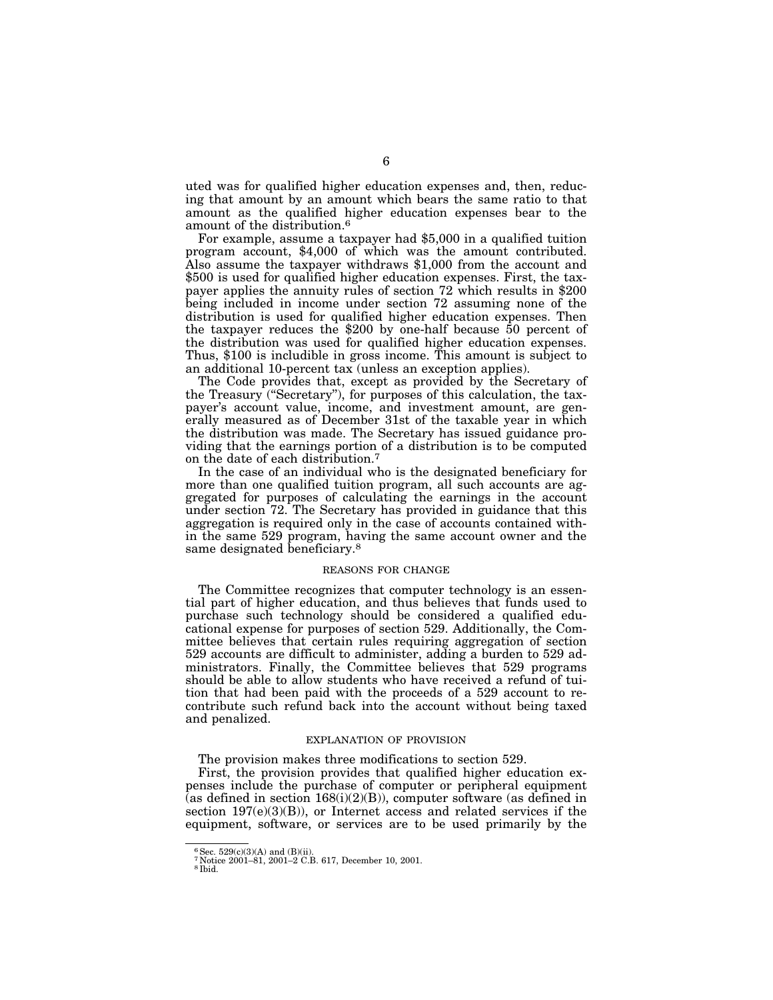uted was for qualified higher education expenses and, then, reducing that amount by an amount which bears the same ratio to that amount as the qualified higher education expenses bear to the amount of the distribution.6

For example, assume a taxpayer had \$5,000 in a qualified tuition program account, \$4,000 of which was the amount contributed. Also assume the taxpayer withdraws \$1,000 from the account and \$500 is used for qualified higher education expenses. First, the taxpayer applies the annuity rules of section 72 which results in \$200 being included in income under section 72 assuming none of the distribution is used for qualified higher education expenses. Then the taxpayer reduces the \$200 by one-half because 50 percent of the distribution was used for qualified higher education expenses. Thus, \$100 is includible in gross income. This amount is subject to an additional 10-percent tax (unless an exception applies).

The Code provides that, except as provided by the Secretary of the Treasury (''Secretary''), for purposes of this calculation, the taxpayer's account value, income, and investment amount, are generally measured as of December 31st of the taxable year in which the distribution was made. The Secretary has issued guidance providing that the earnings portion of a distribution is to be computed on the date of each distribution.7

In the case of an individual who is the designated beneficiary for more than one qualified tuition program, all such accounts are aggregated for purposes of calculating the earnings in the account under section 72. The Secretary has provided in guidance that this aggregation is required only in the case of accounts contained within the same 529 program, having the same account owner and the same designated beneficiary.<sup>8</sup>

#### REASONS FOR CHANGE

The Committee recognizes that computer technology is an essential part of higher education, and thus believes that funds used to purchase such technology should be considered a qualified educational expense for purposes of section 529. Additionally, the Committee believes that certain rules requiring aggregation of section 529 accounts are difficult to administer, adding a burden to 529 administrators. Finally, the Committee believes that 529 programs should be able to allow students who have received a refund of tuition that had been paid with the proceeds of a 529 account to recontribute such refund back into the account without being taxed and penalized.

#### EXPLANATION OF PROVISION

The provision makes three modifications to section 529.

First, the provision provides that qualified higher education expenses include the purchase of computer or peripheral equipment (as defined in section  $168(i)(2)(B)$ ), computer software (as defined in section  $197(e)(3)(B)$ , or Internet access and related services if the equipment, software, or services are to be used primarily by the

<sup>6</sup>Sec. 529(c)(3)(A) and (B)(ii). 7 Notice 2001–81, 2001–2 C.B. 617, December 10, 2001.

<sup>8</sup> Ibid.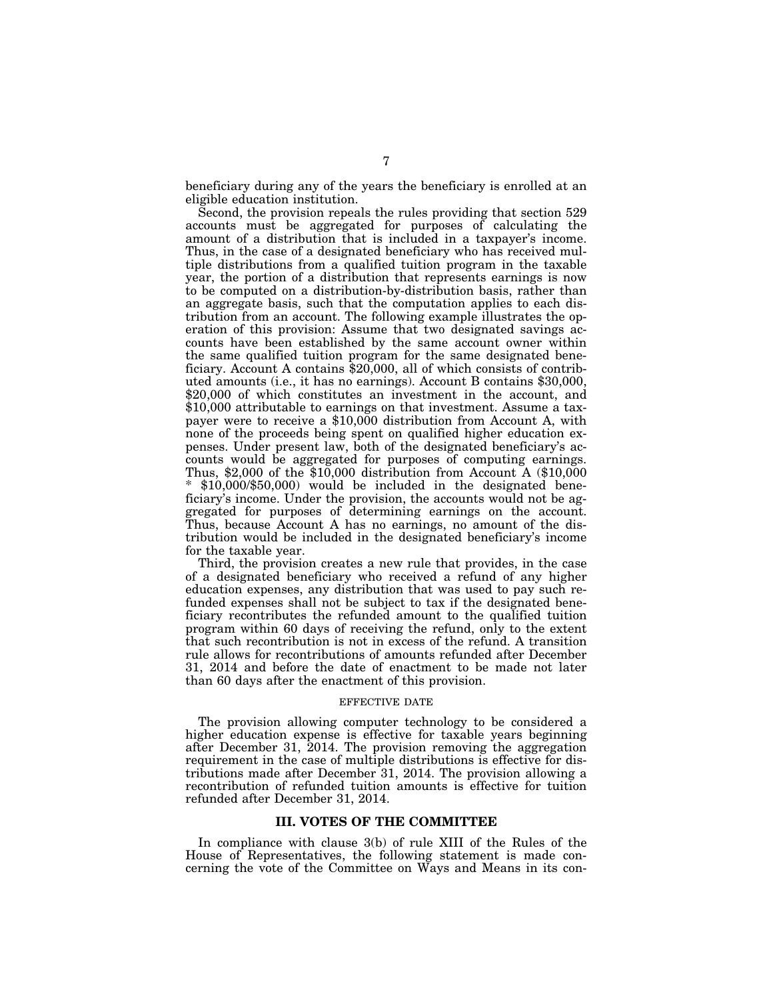beneficiary during any of the years the beneficiary is enrolled at an eligible education institution.

Second, the provision repeals the rules providing that section 529 accounts must be aggregated for purposes of calculating the amount of a distribution that is included in a taxpayer's income. Thus, in the case of a designated beneficiary who has received multiple distributions from a qualified tuition program in the taxable year, the portion of a distribution that represents earnings is now to be computed on a distribution-by-distribution basis, rather than an aggregate basis, such that the computation applies to each distribution from an account. The following example illustrates the operation of this provision: Assume that two designated savings accounts have been established by the same account owner within the same qualified tuition program for the same designated beneficiary. Account A contains \$20,000, all of which consists of contributed amounts (i.e., it has no earnings). Account B contains \$30,000, \$20,000 of which constitutes an investment in the account, and \$10,000 attributable to earnings on that investment. Assume a taxpayer were to receive a \$10,000 distribution from Account A, with none of the proceeds being spent on qualified higher education expenses. Under present law, both of the designated beneficiary's accounts would be aggregated for purposes of computing earnings. Thus, \$2,000 of the \$10,000 distribution from Account A (\$10,000 \* \$10,000/\$50,000) would be included in the designated beneficiary's income. Under the provision, the accounts would not be aggregated for purposes of determining earnings on the account. Thus, because Account A has no earnings, no amount of the distribution would be included in the designated beneficiary's income for the taxable year.

Third, the provision creates a new rule that provides, in the case of a designated beneficiary who received a refund of any higher education expenses, any distribution that was used to pay such refunded expenses shall not be subject to tax if the designated beneficiary recontributes the refunded amount to the qualified tuition program within 60 days of receiving the refund, only to the extent that such recontribution is not in excess of the refund. A transition rule allows for recontributions of amounts refunded after December 31, 2014 and before the date of enactment to be made not later than 60 days after the enactment of this provision.

#### EFFECTIVE DATE

The provision allowing computer technology to be considered a higher education expense is effective for taxable years beginning after December 31, 2014. The provision removing the aggregation requirement in the case of multiple distributions is effective for distributions made after December 31, 2014. The provision allowing a recontribution of refunded tuition amounts is effective for tuition refunded after December 31, 2014.

## **III. VOTES OF THE COMMITTEE**

In compliance with clause 3(b) of rule XIII of the Rules of the House of Representatives, the following statement is made concerning the vote of the Committee on Ways and Means in its con-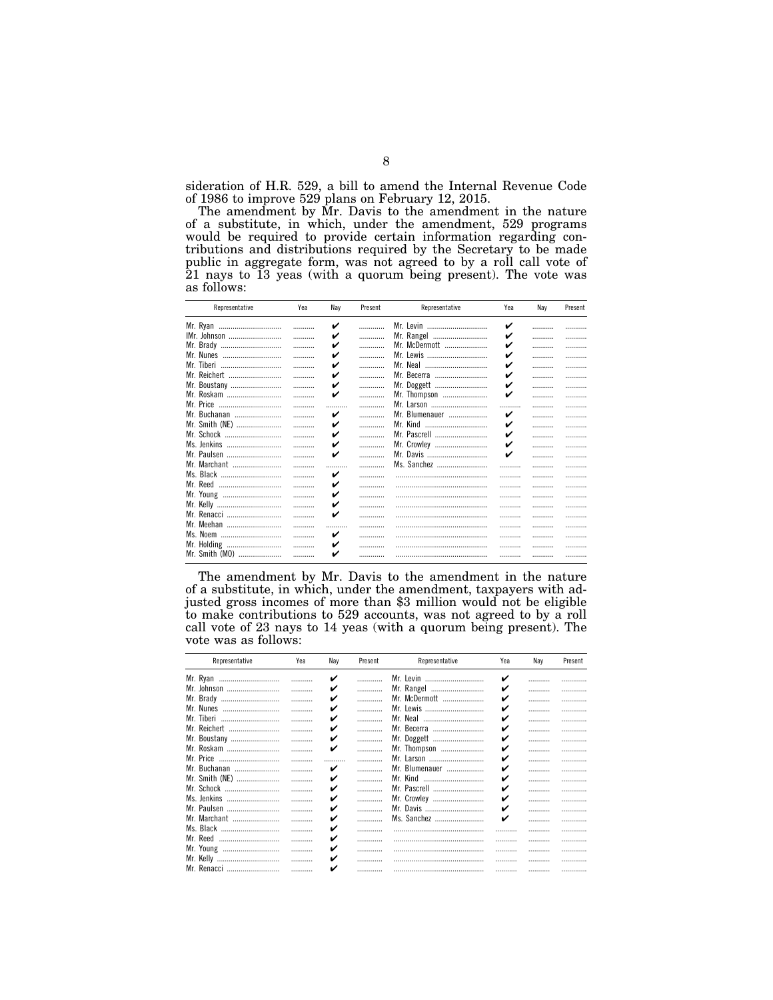sideration of H.R. 529, a bill to amend the Internal Revenue Code of 1986 to improve 529 plans on February 12, 2015.<br>The amendment by Mr. Davis to the amendment in the nature

of a substitute, in which, under the amendment, 529 programs would be required to provide certain information regarding contributions and distributions required by the Secretary to be made public in aggregate form, was not agreed to by a roll call vote of  $21$  nays to  $13$  yeas (with a quorum being present). The vote was as follows:

| Representative | Yea | Nav | Present | Representative | Yea | Nay | Present |
|----------------|-----|-----|---------|----------------|-----|-----|---------|
| Mr. Ryan       | .   | v   | .       | Mr. Levin      | v   |     |         |
| IMr. Johnson   |     | ✓   | .       | Mr. Rangel     | v   |     |         |
| Mr. Brady      |     | v   | .       | Mr. McDermott  | v   |     | .       |
| Mr. Nunes      | .   | ✓   | .       | Mr. Lewis      | ✓   | .   |         |
| Mr. Tiberi<br> |     | ✓   | .       | Mr. Neal       | ✓   |     |         |
| Mr. Reichert   | .   | ✔   | .       | Mr. Becerra    | v   | .   | .       |
| Mr. Boustany   |     | v   | .       | Mr. Doggett    | v   |     |         |
| Mr. Roskam     | .   | ✓   | .       | Mr. Thompson   | ✓   | .   |         |
| Mr. Price      | .   | .   | .       | Mr. Larson     | .   |     |         |
| Mr. Buchanan   | .   | ✓   | .       | Mr. Blumenauer | ✓   | .   |         |
| Mr. Smith (NE) | .   | ✓   | .       | Mr. Kind       | ✓   | .   |         |
| Mr. Schock     | .   | v   | .       | Mr. Pascrell   | v   |     |         |
| Ms. Jenkins    | .   | ✓   | .       | Mr. Crowley    | ✓   |     |         |
| Mr. Paulsen    | .   | v   | .       | Mr. Davis      | v   |     |         |
| Mr. Marchant   |     | .   | .       | Ms. Sanchez    |     |     | .       |
| Ms. Black      | .   | v   |         |                | .   |     | .       |
| Mr. Reed<br>   | .   | v   |         |                |     |     | .       |
| Mr. Young      | .   | ✓   | .       |                |     |     | .       |
| Mr. Kelly      |     | v   |         |                |     |     |         |
| Mr. Renacci    | .   | ✔   | .       |                |     |     |         |
| Mr. Meehan     |     |     |         |                |     |     |         |
| Ms. Noem       | .   | v   | .       |                |     |     | .       |
| Mr. Holding    |     | v   |         |                | .   | .   | .       |
| Mr. Smith (MO) |     |     |         |                | .   |     |         |

The amendment by Mr. Davis to the amendment in the nature of a substitute, in which, under the amendment, taxpayers with adjusted gross incomes of more than \$3 million would not be eligible to make contributions to 529 accounts, was not agreed to by a roll call vote of 23 nays to 14 yeas (with a quorum being present). The vote was as follows:

| Representative                                                                                                | Yea<br>Nay<br>Present<br>Representative |   | Yea | Nay            | Present |   |   |
|---------------------------------------------------------------------------------------------------------------|-----------------------------------------|---|-----|----------------|---------|---|---|
| Mr. Ryan                                                                                                      | .                                       | v |     | Mr. Levin      | v       |   |   |
| Mr. Johnson                                                                                                   |                                         | v |     | Mr. Rangel     | v       |   |   |
| Mr. Brady                                                                                                     | .                                       | ✓ |     | Mr. McDermott  | ✔       |   |   |
| Mr. Nunes                                                                                                     |                                         | ✓ | .   | Mr. Lewis      | ✔       |   |   |
| Mr. Tiberi<br>                                                                                                | .                                       | v | .   | Mr. Neal       | ✔       |   |   |
| Mr. Reichert                                                                                                  | .                                       | ✔ |     | Mr. Becerra    | ✔       |   |   |
| Mr. Boustany                                                                                                  |                                         | ✓ |     | Mr. Doggett    | ✔       |   |   |
| Mr. Roskam                                                                                                    |                                         | ✔ |     | Mr. Thompson   | ✔       |   |   |
| Mr. Price                                                                                                     |                                         |   | .   | Mr. Larson     | v       |   |   |
| Mr. Buchanan                                                                                                  | .                                       | ✓ | .   | Mr. Blumenauer | v       |   |   |
| Mr. Smith (NE)                                                                                                |                                         | ✓ | .   | Mr. Kind       | ✔       |   | . |
| Mr. Schock                                                                                                    | .                                       | ✓ | .   | Mr. Pascrell   | ✔       |   |   |
| Ms. Jenkins                                                                                                   | .                                       | ✓ | .   | Mr. Crowley    | ✔       |   |   |
| Mr. Paulsen                                                                                                   | .                                       |   | .   | Mr. Davis      | ✔       |   |   |
| Mr. Marchant                                                                                                  | .                                       |   | .   | Ms. Sanchez    | v       |   |   |
| Ms. Black                                                                                                     |                                         |   | .   |                | .       |   |   |
|                                                                                                               |                                         |   |     |                |         |   |   |
| Mr. Young                                                                                                     |                                         |   | .   |                |         | . |   |
| Mr. Kelly                                                                                                     |                                         |   |     |                |         | . |   |
| Mr. Renacci i controllere e controllere e controllere e controllere e controllere e controllere e controllere |                                         |   |     |                |         |   |   |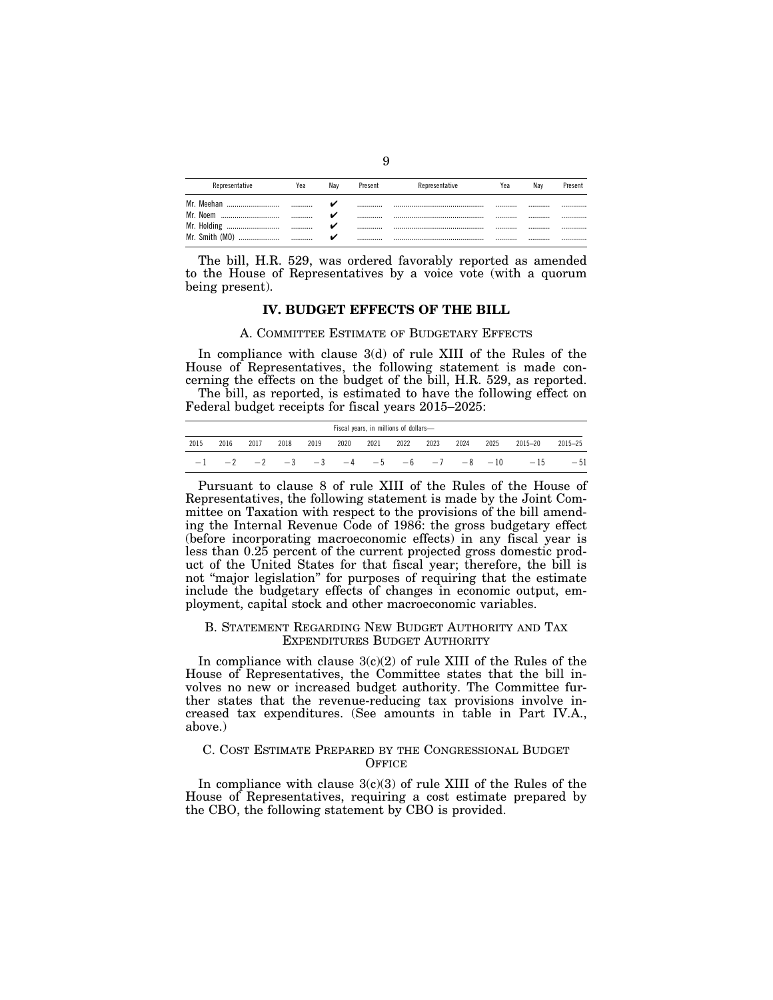| Representative     | Yea | Nav | Present | Representative | Yea | Nav | Present |
|--------------------|-----|-----|---------|----------------|-----|-----|---------|
| Mr<br>Meehan       |     |     |         |                |     |     |         |
| Mr<br>Noem         |     |     |         |                |     |     |         |
| Mr. Holding        |     |     |         |                |     |     |         |
| Mr. Smith (MO)<br> |     |     |         |                |     |     |         |

The bill, H.R. 529, was ordered favorably reported as amended to the House of Representatives by a voice vote (with a quorum being present).

#### **IV. BUDGET EFFECTS OF THE BILL**

#### A. COMMITTEE ESTIMATE OF BUDGETARY EFFECTS

In compliance with clause 3(d) of rule XIII of the Rules of the House of Representatives, the following statement is made concerning the effects on the budget of the bill, H.R. 529, as reported. The bill, as reported, is estimated to have the following effect on Federal budget receipts for fiscal years 2015–2025:

| Fiscal years, in millions of dollars- |      |      |      |      |      |      |                               |      |               |      |             |             |
|---------------------------------------|------|------|------|------|------|------|-------------------------------|------|---------------|------|-------------|-------------|
| 2015                                  | 2016 | 2017 | 2018 | 2019 | 2020 | 2021 | 2022                          | 2023 | 2024          | 2025 | $2015 - 20$ | $2015 - 25$ |
| $-1$                                  | $-2$ |      |      |      |      |      | $-2$ $-3$ $-3$ $-4$ $-5$ $-6$ |      | $-7 - 8 - 10$ |      | $-15$       | $-51$       |

Pursuant to clause 8 of rule XIII of the Rules of the House of Representatives, the following statement is made by the Joint Committee on Taxation with respect to the provisions of the bill amending the Internal Revenue Code of 1986: the gross budgetary effect (before incorporating macroeconomic effects) in any fiscal year is less than 0.25 percent of the current projected gross domestic product of the United States for that fiscal year; therefore, the bill is not ''major legislation'' for purposes of requiring that the estimate include the budgetary effects of changes in economic output, employment, capital stock and other macroeconomic variables.

## B. STATEMENT REGARDING NEW BUDGET AUTHORITY AND TAX EXPENDITURES BUDGET AUTHORITY

In compliance with clause  $3(c)(2)$  of rule XIII of the Rules of the House of Representatives, the Committee states that the bill involves no new or increased budget authority. The Committee further states that the revenue-reducing tax provisions involve increased tax expenditures. (See amounts in table in Part IV.A., above.)

## C. COST ESTIMATE PREPARED BY THE CONGRESSIONAL BUDGET **OFFICE**

In compliance with clause  $3(c)(3)$  of rule XIII of the Rules of the House of Representatives, requiring a cost estimate prepared by the CBO, the following statement by CBO is provided.

9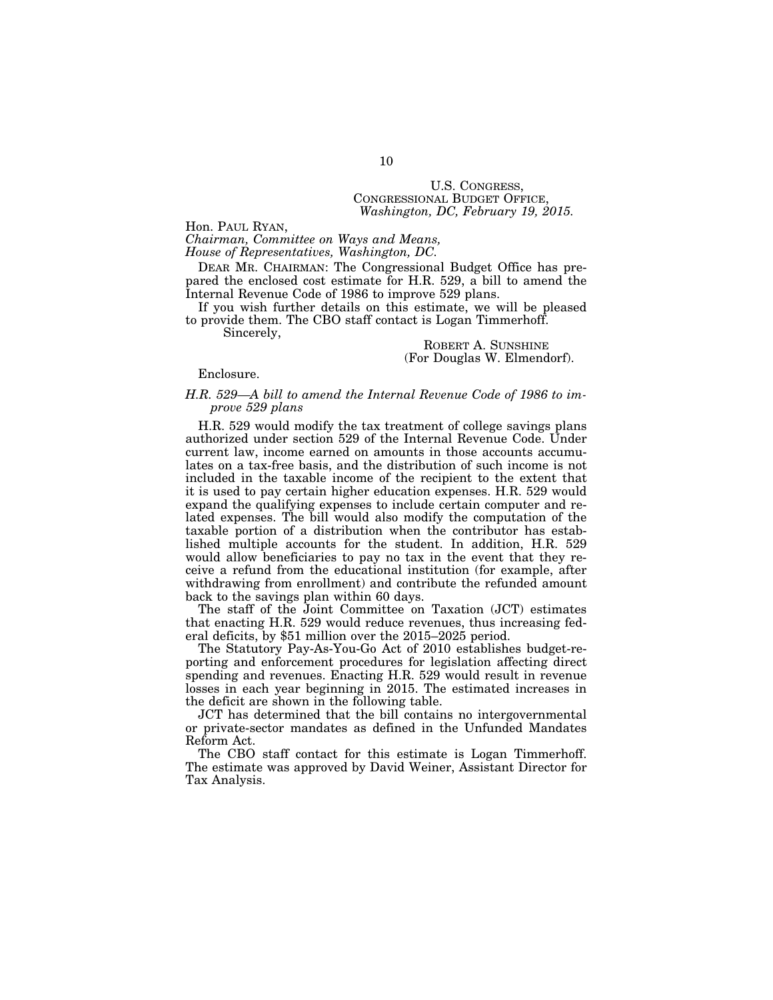# U.S. CONGRESS, CONGRESSIONAL BUDGET OFFICE, *Washington, DC, February 19, 2015.*

Hon. PAUL RYAN,

*Chairman, Committee on Ways and Means, House of Representatives, Washington, DC.* 

DEAR MR. CHAIRMAN: The Congressional Budget Office has prepared the enclosed cost estimate for H.R. 529, a bill to amend the Internal Revenue Code of 1986 to improve 529 plans.

If you wish further details on this estimate, we will be pleased to provide them. The CBO staff contact is Logan Timmerhoff. Sincerely,

ROBERT A. SUNSHINE (For Douglas W. Elmendorf).

Enclosure.

# *H.R. 529—A bill to amend the Internal Revenue Code of 1986 to improve 529 plans*

H.R. 529 would modify the tax treatment of college savings plans authorized under section 529 of the Internal Revenue Code. Under current law, income earned on amounts in those accounts accumulates on a tax-free basis, and the distribution of such income is not included in the taxable income of the recipient to the extent that it is used to pay certain higher education expenses. H.R. 529 would expand the qualifying expenses to include certain computer and related expenses. The bill would also modify the computation of the taxable portion of a distribution when the contributor has established multiple accounts for the student. In addition, H.R. 529 would allow beneficiaries to pay no tax in the event that they receive a refund from the educational institution (for example, after withdrawing from enrollment) and contribute the refunded amount back to the savings plan within 60 days.

The staff of the Joint Committee on Taxation (JCT) estimates that enacting H.R. 529 would reduce revenues, thus increasing federal deficits, by \$51 million over the 2015–2025 period.

The Statutory Pay-As-You-Go Act of 2010 establishes budget-reporting and enforcement procedures for legislation affecting direct spending and revenues. Enacting H.R. 529 would result in revenue losses in each year beginning in 2015. The estimated increases in the deficit are shown in the following table.

JCT has determined that the bill contains no intergovernmental or private-sector mandates as defined in the Unfunded Mandates Reform Act.

The CBO staff contact for this estimate is Logan Timmerhoff. The estimate was approved by David Weiner, Assistant Director for Tax Analysis.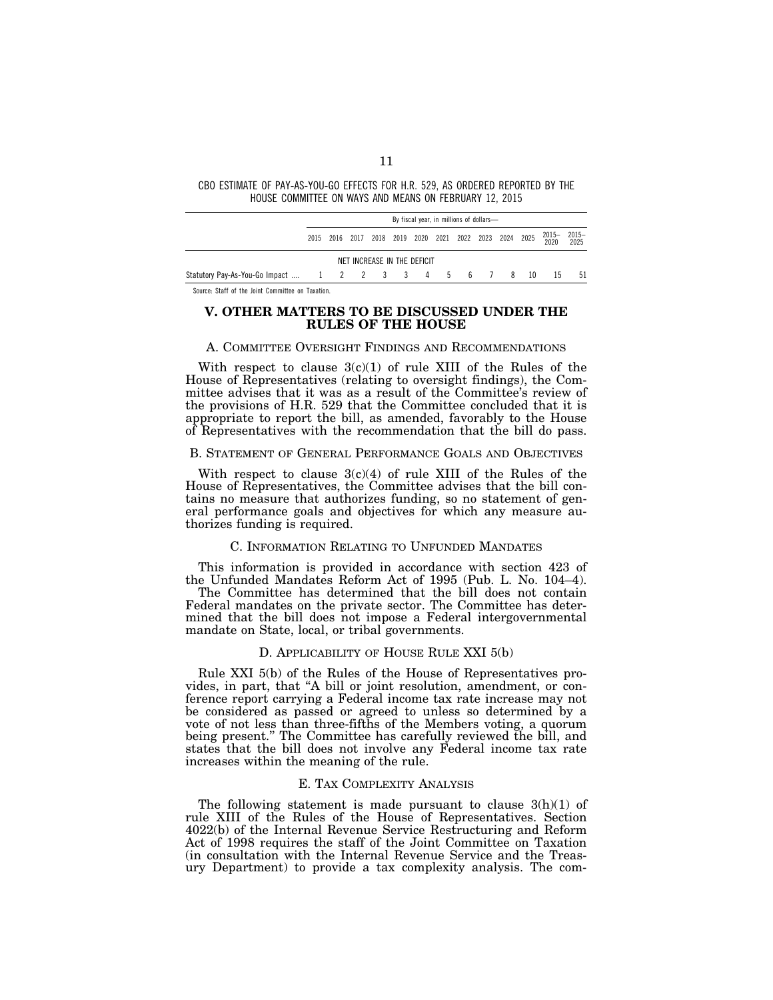CBO ESTIMATE OF PAY-AS-YOU-GO EFFECTS FOR H.R. 529, AS ORDERED REPORTED BY THE HOUSE COMMITTEE ON WAYS AND MEANS ON FEBRUARY 12, 2015

|                                                        | By fiscal year, in millions of dollars- |  |  |  |                             |  |  |  |  |  |                                                   |               |               |
|--------------------------------------------------------|-----------------------------------------|--|--|--|-----------------------------|--|--|--|--|--|---------------------------------------------------|---------------|---------------|
|                                                        | 2015                                    |  |  |  |                             |  |  |  |  |  | 2016 2017 2018 2019 2020 2021 2022 2023 2024 2025 | 2015—<br>2020 | $2015 - 2025$ |
|                                                        |                                         |  |  |  | NET INCREASE IN THE DEFICIT |  |  |  |  |  |                                                   |               |               |
| Statutory Pay-As-You-Go Impact  1 2 2 3 3 4 5 6 7 8 10 |                                         |  |  |  |                             |  |  |  |  |  |                                                   | - 15          | -51           |

## **V. OTHER MATTERS TO BE DISCUSSED UNDER THE RULES OF THE HOUSE**

#### A. COMMITTEE OVERSIGHT FINDINGS AND RECOMMENDATIONS

With respect to clause  $3(c)(1)$  of rule XIII of the Rules of the House of Representatives (relating to oversight findings), the Committee advises that it was as a result of the Committee's review of the provisions of H.R. 529 that the Committee concluded that it is appropriate to report the bill, as amended, favorably to the House of Representatives with the recommendation that the bill do pass.

#### B. STATEMENT OF GENERAL PERFORMANCE GOALS AND OBJECTIVES

With respect to clause  $3(c)(4)$  of rule XIII of the Rules of the House of Representatives, the Committee advises that the bill contains no measure that authorizes funding, so no statement of general performance goals and objectives for which any measure authorizes funding is required.

#### C. INFORMATION RELATING TO UNFUNDED MANDATES

This information is provided in accordance with section 423 of the Unfunded Mandates Reform Act of 1995 (Pub. L. No. 104–4).

The Committee has determined that the bill does not contain Federal mandates on the private sector. The Committee has determined that the bill does not impose a Federal intergovernmental mandate on State, local, or tribal governments.

## D. APPLICABILITY OF HOUSE RULE XXI 5(b)

Rule XXI 5(b) of the Rules of the House of Representatives provides, in part, that ''A bill or joint resolution, amendment, or conference report carrying a Federal income tax rate increase may not be considered as passed or agreed to unless so determined by a vote of not less than three-fifths of the Members voting, a quorum being present.'' The Committee has carefully reviewed the bill, and states that the bill does not involve any Federal income tax rate increases within the meaning of the rule.

## E. TAX COMPLEXITY ANALYSIS

The following statement is made pursuant to clause  $3(h)(1)$  of rule XIII of the Rules of the House of Representatives. Section 4022(b) of the Internal Revenue Service Restructuring and Reform Act of 1998 requires the staff of the Joint Committee on Taxation (in consultation with the Internal Revenue Service and the Treasury Department) to provide a tax complexity analysis. The com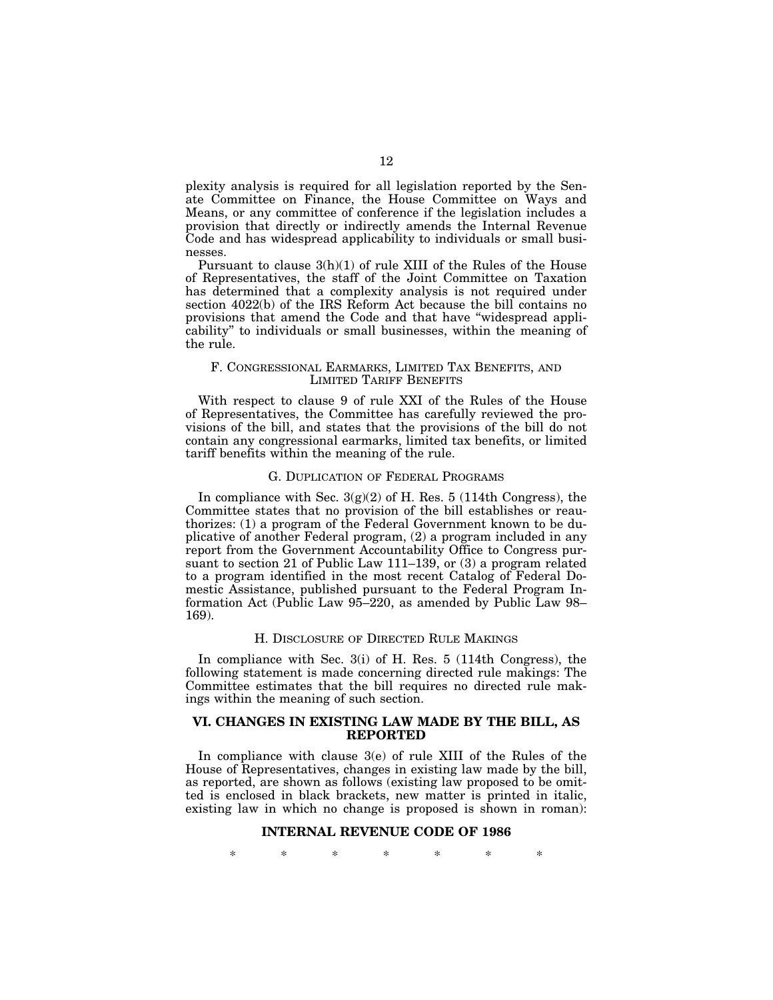plexity analysis is required for all legislation reported by the Senate Committee on Finance, the House Committee on Ways and Means, or any committee of conference if the legislation includes a provision that directly or indirectly amends the Internal Revenue Code and has widespread applicability to individuals or small businesses.

Pursuant to clause 3(h)(1) of rule XIII of the Rules of the House of Representatives, the staff of the Joint Committee on Taxation has determined that a complexity analysis is not required under section 4022(b) of the IRS Reform Act because the bill contains no provisions that amend the Code and that have ''widespread applicability'' to individuals or small businesses, within the meaning of the rule.

## F. CONGRESSIONAL EARMARKS, LIMITED TAX BENEFITS, AND LIMITED TARIFF BENEFITS

With respect to clause 9 of rule XXI of the Rules of the House of Representatives, the Committee has carefully reviewed the provisions of the bill, and states that the provisions of the bill do not contain any congressional earmarks, limited tax benefits, or limited tariff benefits within the meaning of the rule.

#### G. DUPLICATION OF FEDERAL PROGRAMS

In compliance with Sec.  $3(g)(2)$  of H. Res. 5 (114th Congress), the Committee states that no provision of the bill establishes or reauthorizes: (1) a program of the Federal Government known to be duplicative of another Federal program, (2) a program included in any report from the Government Accountability Office to Congress pursuant to section 21 of Public Law 111–139, or (3) a program related to a program identified in the most recent Catalog of Federal Domestic Assistance, published pursuant to the Federal Program Information Act (Public Law 95–220, as amended by Public Law 98– 169).

## H. DISCLOSURE OF DIRECTED RULE MAKINGS

In compliance with Sec. 3(i) of H. Res. 5 (114th Congress), the following statement is made concerning directed rule makings: The Committee estimates that the bill requires no directed rule makings within the meaning of such section.

## **VI. CHANGES IN EXISTING LAW MADE BY THE BILL, AS REPORTED**

In compliance with clause 3(e) of rule XIII of the Rules of the House of Representatives, changes in existing law made by the bill, as reported, are shown as follows (existing law proposed to be omitted is enclosed in black brackets, new matter is printed in italic, existing law in which no change is proposed is shown in roman):

#### **INTERNAL REVENUE CODE OF 1986**

\* \* \* \* \* \* \*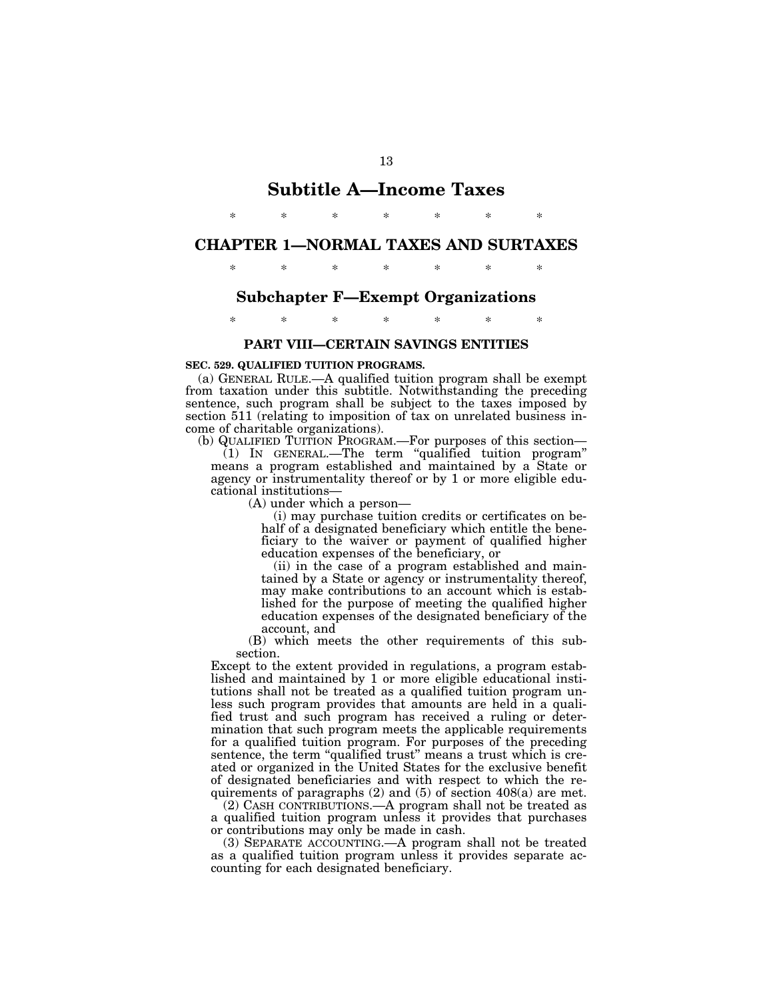# **Subtitle A—Income Taxes**

\* \* \* \* \* \* \*

# **CHAPTER 1—NORMAL TAXES AND SURTAXES**

\* \* \* \* \* \* \*

# **Subchapter F—Exempt Organizations**

\* \* \* \* \* \* \*

## **PART VIII—CERTAIN SAVINGS ENTITIES**

#### **SEC. 529. QUALIFIED TUITION PROGRAMS.**

(a) GENERAL RULE.—A qualified tuition program shall be exempt from taxation under this subtitle. Notwithstanding the preceding sentence, such program shall be subject to the taxes imposed by section 511 (relating to imposition of tax on unrelated business income of charitable organizations).

(b) QUALIFIED TUITION PROGRAM.—For purposes of this section—

(1) IN GENERAL.—The term ''qualified tuition program'' means a program established and maintained by a State or agency or instrumentality thereof or by 1 or more eligible educational institutions—

(A) under which a person—

(i) may purchase tuition credits or certificates on behalf of a designated beneficiary which entitle the beneficiary to the waiver or payment of qualified higher education expenses of the beneficiary, or

(ii) in the case of a program established and maintained by a State or agency or instrumentality thereof, may make contributions to an account which is established for the purpose of meeting the qualified higher education expenses of the designated beneficiary of the account, and

(B) which meets the other requirements of this subsection.

Except to the extent provided in regulations, a program established and maintained by 1 or more eligible educational institutions shall not be treated as a qualified tuition program unless such program provides that amounts are held in a qualified trust and such program has received a ruling or determination that such program meets the applicable requirements for a qualified tuition program. For purposes of the preceding sentence, the term "qualified trust" means a trust which is created or organized in the United States for the exclusive benefit of designated beneficiaries and with respect to which the requirements of paragraphs (2) and (5) of section 408(a) are met.

(2) CASH CONTRIBUTIONS.—A program shall not be treated as a qualified tuition program unless it provides that purchases or contributions may only be made in cash.

(3) SEPARATE ACCOUNTING.—A program shall not be treated as a qualified tuition program unless it provides separate accounting for each designated beneficiary.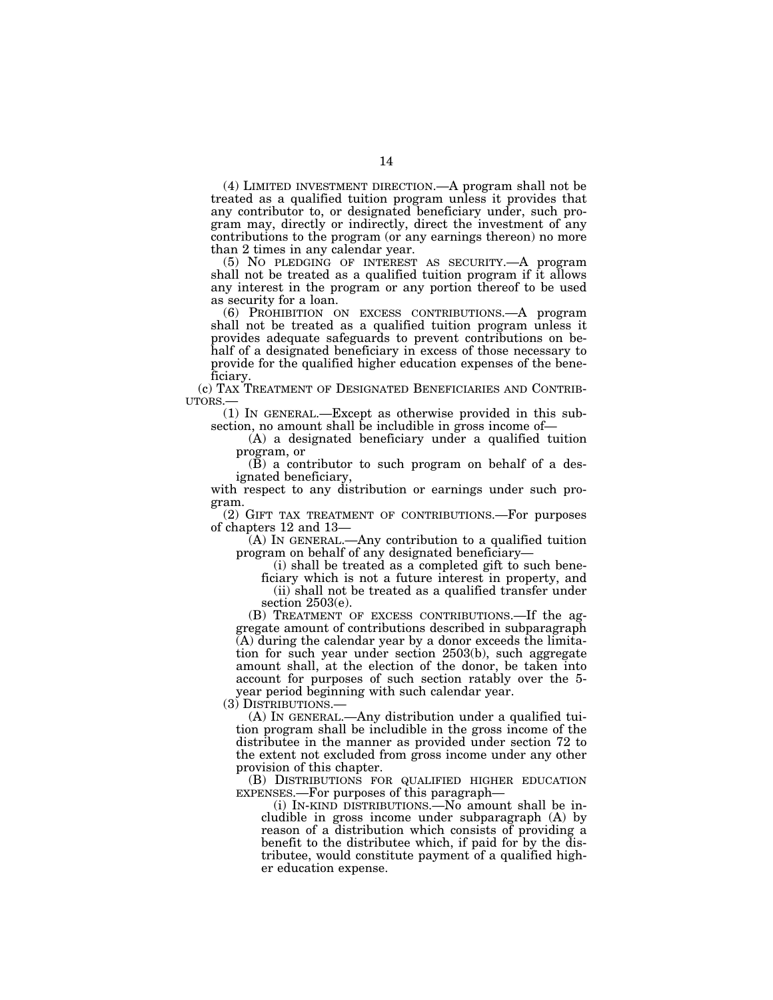(4) LIMITED INVESTMENT DIRECTION.—A program shall not be treated as a qualified tuition program unless it provides that any contributor to, or designated beneficiary under, such program may, directly or indirectly, direct the investment of any contributions to the program (or any earnings thereon) no more than 2 times in any calendar year.

(5) NO PLEDGING OF INTEREST AS SECURITY.—A program shall not be treated as a qualified tuition program if it allows any interest in the program or any portion thereof to be used as security for a loan.

(6) PROHIBITION ON EXCESS CONTRIBUTIONS.—A program shall not be treated as a qualified tuition program unless it provides adequate safeguards to prevent contributions on behalf of a designated beneficiary in excess of those necessary to provide for the qualified higher education expenses of the beneficiary.

(c) TAX TREATMENT OF DESIGNATED BENEFICIARIES AND CONTRIB- UTORS.—

(1) IN GENERAL.—Except as otherwise provided in this subsection, no amount shall be includible in gross income of—

(A) a designated beneficiary under a qualified tuition program, or

(B) a contributor to such program on behalf of a designated beneficiary,

with respect to any distribution or earnings under such program.

(2) GIFT TAX TREATMENT OF CONTRIBUTIONS.—For purposes of chapters 12 and 13—

(A) IN GENERAL.—Any contribution to a qualified tuition program on behalf of any designated beneficiary—

(i) shall be treated as a completed gift to such bene-

ficiary which is not a future interest in property, and (ii) shall not be treated as a qualified transfer under section 2503(e).

(B) TREATMENT OF EXCESS CONTRIBUTIONS.—If the aggregate amount of contributions described in subparagraph (A) during the calendar year by a donor exceeds the limitation for such year under section 2503(b), such aggregate amount shall, at the election of the donor, be taken into account for purposes of such section ratably over the 5 year period beginning with such calendar year.

(3) DISTRIBUTIONS.—

(A) IN GENERAL.—Any distribution under a qualified tuition program shall be includible in the gross income of the distributee in the manner as provided under section 72 to the extent not excluded from gross income under any other provision of this chapter.

(B) DISTRIBUTIONS FOR QUALIFIED HIGHER EDUCATION EXPENSES.—For purposes of this paragraph—

(i) IN-KIND DISTRIBUTIONS.—No amount shall be includible in gross income under subparagraph (A) by reason of a distribution which consists of providing a benefit to the distributee which, if paid for by the distributee, would constitute payment of a qualified higher education expense.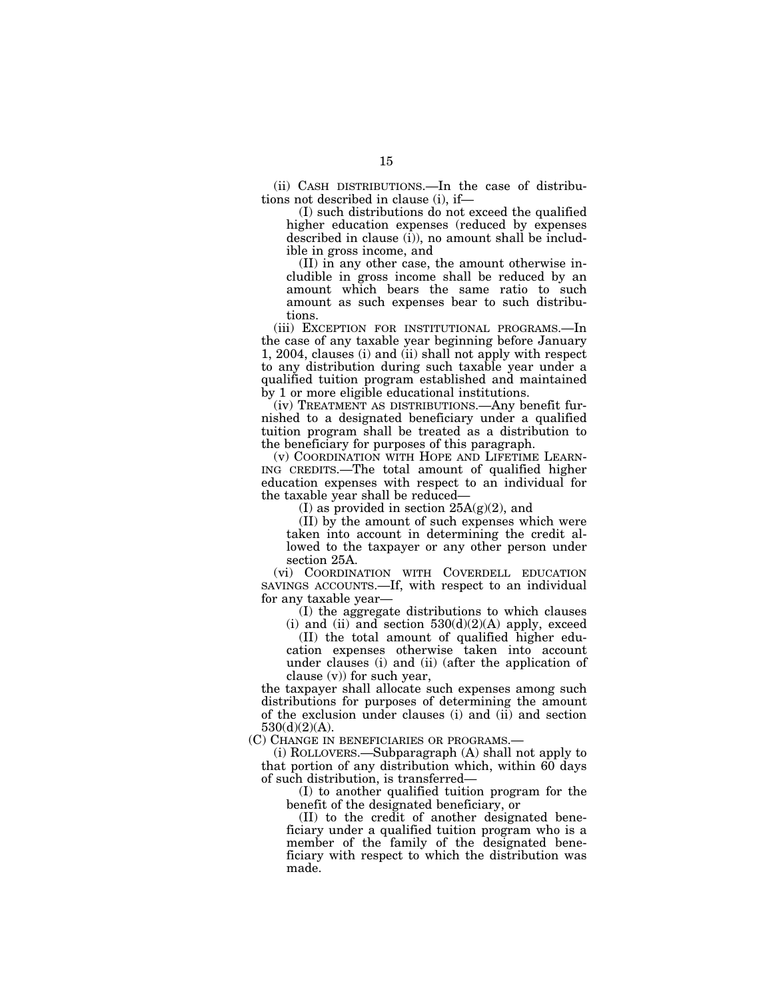(ii) CASH DISTRIBUTIONS.—In the case of distributions not described in clause (i), if—

(I) such distributions do not exceed the qualified higher education expenses (reduced by expenses described in clause (i)), no amount shall be includible in gross income, and

(II) in any other case, the amount otherwise includible in gross income shall be reduced by an amount which bears the same ratio to such amount as such expenses bear to such distributions.

(iii) EXCEPTION FOR INSTITUTIONAL PROGRAMS.—In the case of any taxable year beginning before January 1, 2004, clauses (i) and (ii) shall not apply with respect to any distribution during such taxable year under a qualified tuition program established and maintained by 1 or more eligible educational institutions.

(iv) TREATMENT AS DISTRIBUTIONS.—Any benefit furnished to a designated beneficiary under a qualified tuition program shall be treated as a distribution to the beneficiary for purposes of this paragraph.

(v) COORDINATION WITH HOPE AND LIFETIME LEARN-ING CREDITS.—The total amount of qualified higher education expenses with respect to an individual for the taxable year shall be reduced—

(I) as provided in section  $25A(g)(2)$ , and

(II) by the amount of such expenses which were taken into account in determining the credit allowed to the taxpayer or any other person under section 25A.

(vi) COORDINATION WITH COVERDELL EDUCATION SAVINGS ACCOUNTS.—If, with respect to an individual for any taxable year—

(I) the aggregate distributions to which clauses

(i) and (ii) and section  $530(d)(2)(A)$  apply, exceed (II) the total amount of qualified higher edu-

cation expenses otherwise taken into account under clauses (i) and (ii) (after the application of clause (v)) for such year,

the taxpayer shall allocate such expenses among such distributions for purposes of determining the amount of the exclusion under clauses (i) and (ii) and section 530(d)(2)(A).

(C) CHANGE IN BENEFICIARIES OR PROGRAMS.—

(i) ROLLOVERS.—Subparagraph (A) shall not apply to that portion of any distribution which, within 60 days of such distribution, is transferred—

(I) to another qualified tuition program for the benefit of the designated beneficiary, or

(II) to the credit of another designated beneficiary under a qualified tuition program who is a member of the family of the designated beneficiary with respect to which the distribution was made.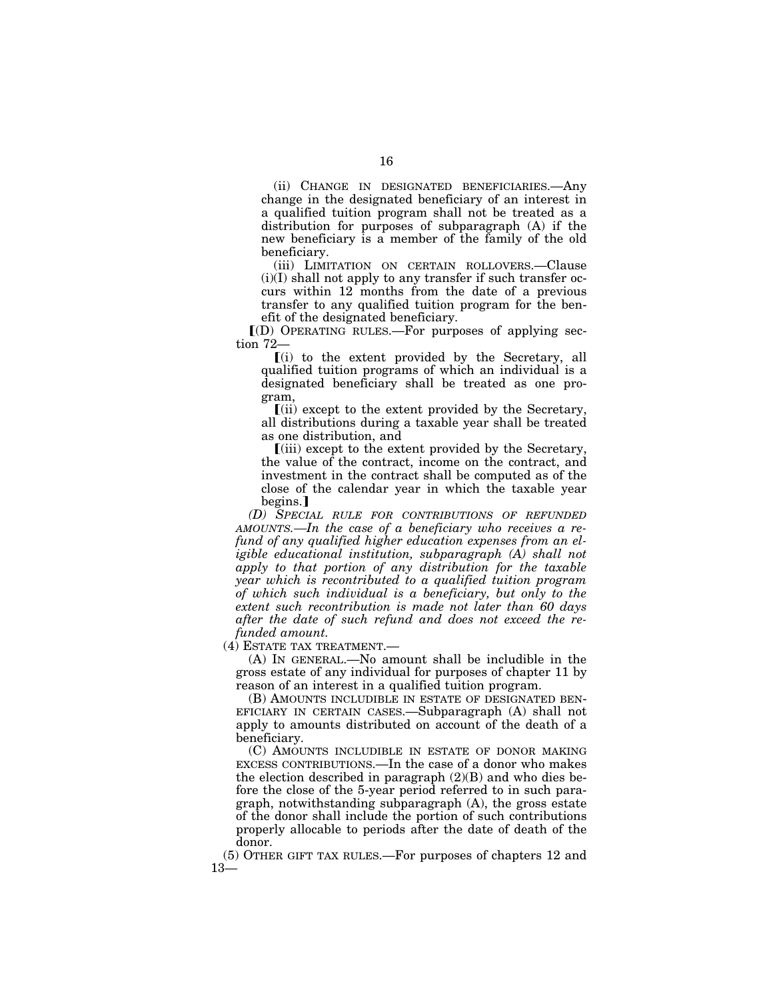(ii) CHANGE IN DESIGNATED BENEFICIARIES.—Any change in the designated beneficiary of an interest in a qualified tuition program shall not be treated as a distribution for purposes of subparagraph (A) if the new beneficiary is a member of the family of the old beneficiary.

(iii) LIMITATION ON CERTAIN ROLLOVERS.—Clause  $(i)(I)$  shall not apply to any transfer if such transfer occurs within 12 months from the date of a previous transfer to any qualified tuition program for the benefit of the designated beneficiary.

 $I(D)$  OPERATING RULES.—For purposes of applying section 72—

 $(i)$  to the extent provided by the Secretary, all qualified tuition programs of which an individual is a designated beneficiary shall be treated as one program,

 $\lceil$ (ii) except to the extent provided by the Secretary, all distributions during a taxable year shall be treated as one distribution, and

ø(iii) except to the extent provided by the Secretary, the value of the contract, income on the contract, and investment in the contract shall be computed as of the close of the calendar year in which the taxable year begins.

*(D) SPECIAL RULE FOR CONTRIBUTIONS OF REFUNDED AMOUNTS.—In the case of a beneficiary who receives a refund of any qualified higher education expenses from an eligible educational institution, subparagraph (A) shall not apply to that portion of any distribution for the taxable year which is recontributed to a qualified tuition program of which such individual is a beneficiary, but only to the extent such recontribution is made not later than 60 days after the date of such refund and does not exceed the refunded amount.* 

(4) ESTATE TAX TREATMENT.—

(A) IN GENERAL.—No amount shall be includible in the gross estate of any individual for purposes of chapter 11 by reason of an interest in a qualified tuition program.

(B) AMOUNTS INCLUDIBLE IN ESTATE OF DESIGNATED BEN-EFICIARY IN CERTAIN CASES.—Subparagraph (A) shall not apply to amounts distributed on account of the death of a beneficiary.

(C) AMOUNTS INCLUDIBLE IN ESTATE OF DONOR MAKING EXCESS CONTRIBUTIONS.—In the case of a donor who makes the election described in paragraph (2)(B) and who dies before the close of the 5-year period referred to in such paragraph, notwithstanding subparagraph (A), the gross estate of the donor shall include the portion of such contributions properly allocable to periods after the date of death of the donor.

(5) OTHER GIFT TAX RULES.—For purposes of chapters 12 and 13—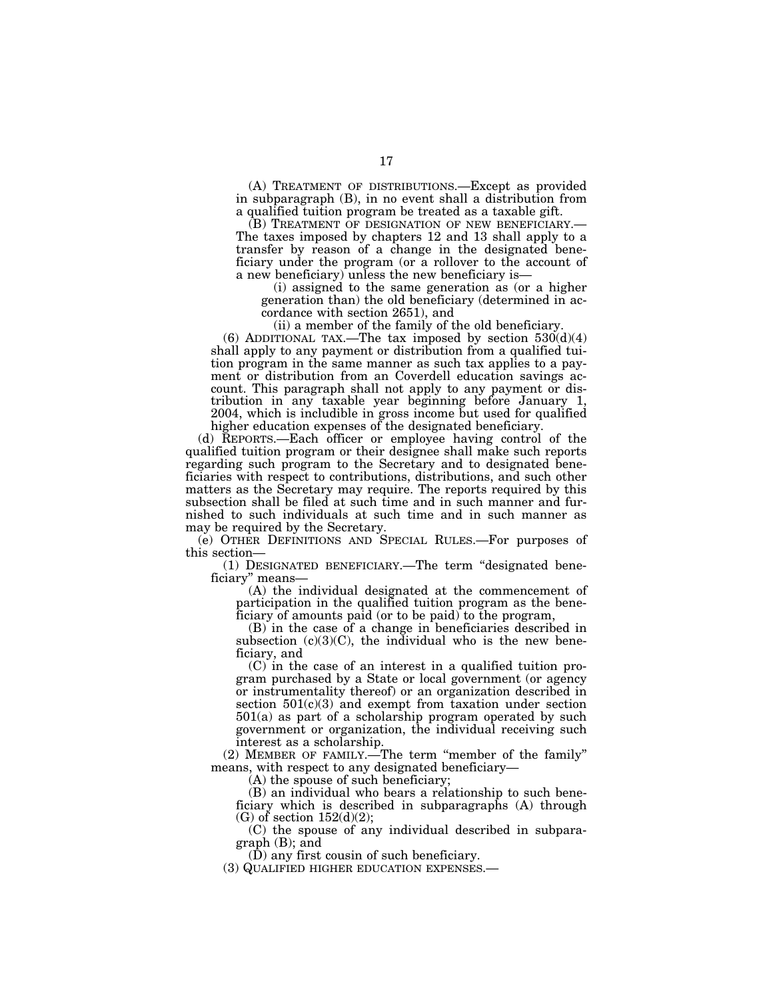(A) TREATMENT OF DISTRIBUTIONS.—Except as provided in subparagraph (B), in no event shall a distribution from a qualified tuition program be treated as a taxable gift.

The taxes imposed by chapters 12 and 13 shall apply to a transfer by reason of a change in the designated beneficiary under the program (or a rollover to the account of a new beneficiary) unless the new beneficiary is—

(i) assigned to the same generation as (or a higher generation than) the old beneficiary (determined in accordance with section 2651), and

(ii) a member of the family of the old beneficiary.

(6) ADDITIONAL TAX.—The tax imposed by section  $530(d)(4)$ shall apply to any payment or distribution from a qualified tuition program in the same manner as such tax applies to a payment or distribution from an Coverdell education savings account. This paragraph shall not apply to any payment or distribution in any taxable year beginning before January 1, 2004, which is includible in gross income but used for qualified higher education expenses of the designated beneficiary.

(d) REPORTS.—Each officer or employee having control of the qualified tuition program or their designee shall make such reports regarding such program to the Secretary and to designated beneficiaries with respect to contributions, distributions, and such other matters as the Secretary may require. The reports required by this subsection shall be filed at such time and in such manner and furnished to such individuals at such time and in such manner as may be required by the Secretary.

(e) OTHER DEFINITIONS AND SPECIAL RULES.—For purposes of this section—

(1) DESIGNATED BENEFICIARY.—The term ''designated beneficiary'' means—

(A) the individual designated at the commencement of participation in the qualified tuition program as the beneficiary of amounts paid (or to be paid) to the program,

(B) in the case of a change in beneficiaries described in subsection  $(c)(3)(C)$ , the individual who is the new beneficiary, and

(C) in the case of an interest in a qualified tuition program purchased by a State or local government (or agency or instrumentality thereof) or an organization described in section  $501(c)(3)$  and exempt from taxation under section 501(a) as part of a scholarship program operated by such government or organization, the individual receiving such interest as a scholarship.

(2) MEMBER OF FAMILY.—The term ''member of the family'' means, with respect to any designated beneficiary—

(A) the spouse of such beneficiary;

(B) an individual who bears a relationship to such beneficiary which is described in subparagraphs (A) through (G) of section  $152(d)(2)$ ;

(C) the spouse of any individual described in subparagraph (B); and

(D) any first cousin of such beneficiary.

(3) QUALIFIED HIGHER EDUCATION EXPENSES.—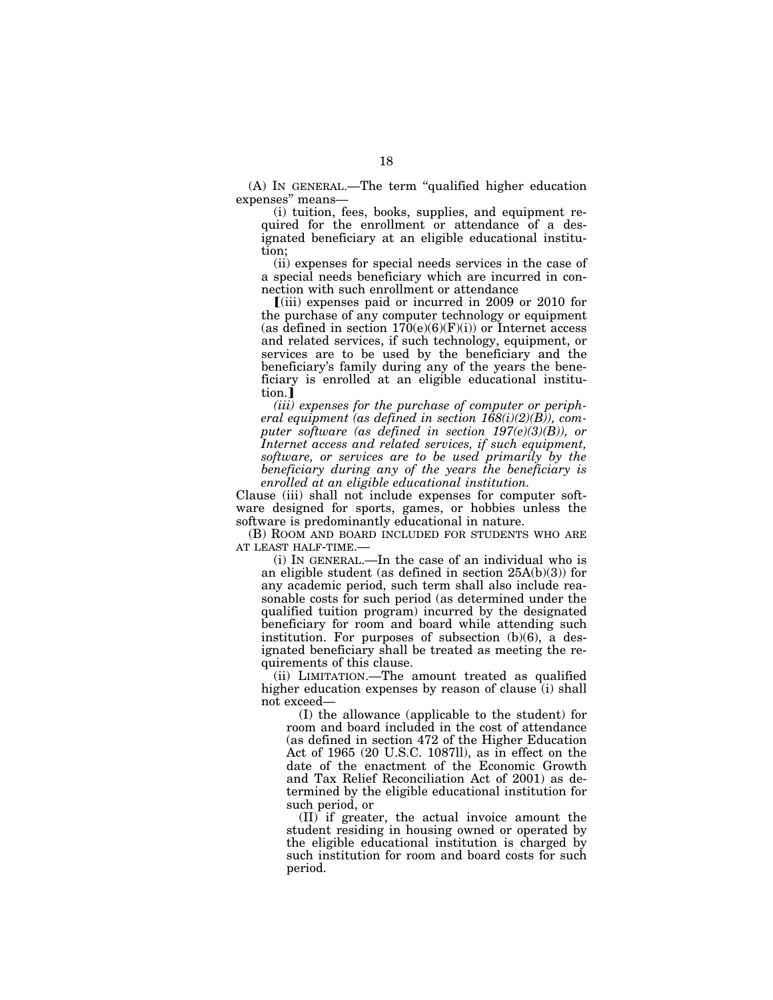(A) IN GENERAL.—The term ''qualified higher education expenses'' means—

(i) tuition, fees, books, supplies, and equipment required for the enrollment or attendance of a designated beneficiary at an eligible educational institution;

(ii) expenses for special needs services in the case of a special needs beneficiary which are incurred in connection with such enrollment or attendance

ø(iii) expenses paid or incurred in 2009 or 2010 for the purchase of any computer technology or equipment (as defined in section  $170(e)(6)(F)(i)$ ) or Internet access and related services, if such technology, equipment, or services are to be used by the beneficiary and the beneficiary's family during any of the years the beneficiary is enrolled at an eligible educational institution.

*(iii) expenses for the purchase of computer or peripheral equipment (as defined in section 168(i)(2)(B)), computer software (as defined in section 197(e)(3)(B)), or Internet access and related services, if such equipment, software, or services are to be used primarily by the beneficiary during any of the years the beneficiary is enrolled at an eligible educational institution.* 

Clause (iii) shall not include expenses for computer software designed for sports, games, or hobbies unless the software is predominantly educational in nature.

(B) ROOM AND BOARD INCLUDED FOR STUDENTS WHO ARE AT LEAST HALF-TIME.—

(i) IN GENERAL.—In the case of an individual who is an eligible student (as defined in section 25A(b)(3)) for any academic period, such term shall also include reasonable costs for such period (as determined under the qualified tuition program) incurred by the designated beneficiary for room and board while attending such institution. For purposes of subsection (b)(6), a designated beneficiary shall be treated as meeting the requirements of this clause.

(ii) LIMITATION.—The amount treated as qualified higher education expenses by reason of clause (i) shall not exceed—

(I) the allowance (applicable to the student) for room and board included in the cost of attendance (as defined in section 472 of the Higher Education Act of 1965 (20 U.S.C. 1087ll), as in effect on the date of the enactment of the Economic Growth and Tax Relief Reconciliation Act of 2001) as determined by the eligible educational institution for such period, or

(II) if greater, the actual invoice amount the student residing in housing owned or operated by the eligible educational institution is charged by such institution for room and board costs for such period.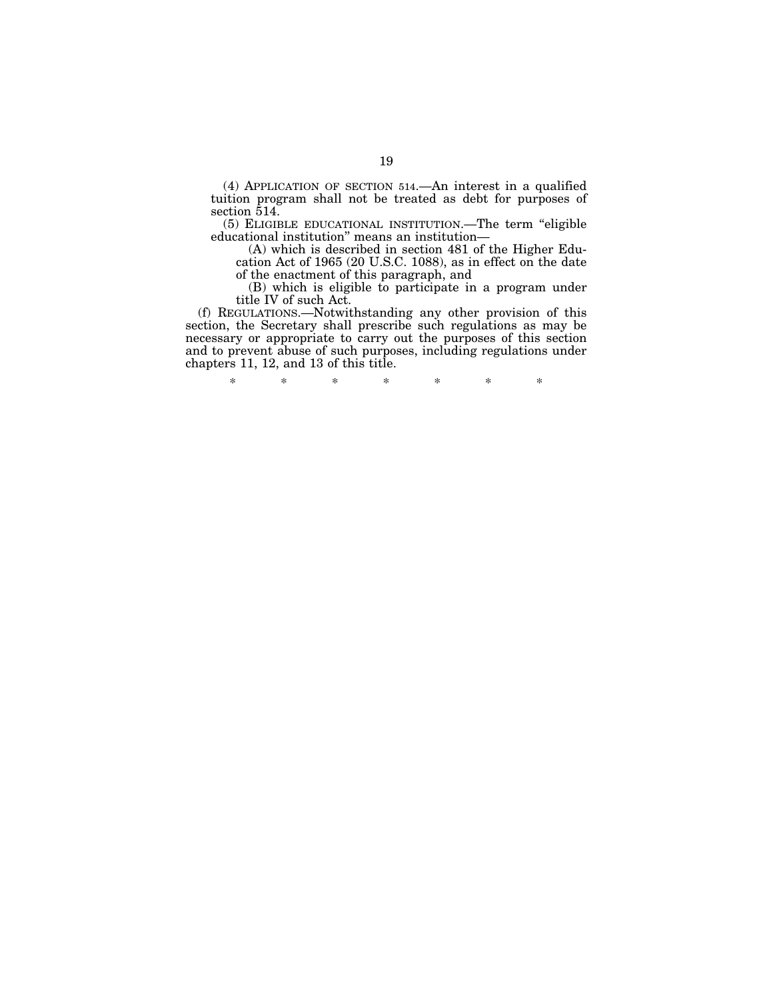(4) APPLICATION OF SECTION 514.—An interest in a qualified tuition program shall not be treated as debt for purposes of section 514.

(5) ELIGIBLE EDUCATIONAL INSTITUTION.—The term ''eligible educational institution'' means an institution—

(A) which is described in section 481 of the Higher Education Act of 1965 (20 U.S.C. 1088), as in effect on the date of the enactment of this paragraph, and

(B) which is eligible to participate in a program under title IV of such Act.

(f) REGULATIONS.—Notwithstanding any other provision of this section, the Secretary shall prescribe such regulations as may be necessary or appropriate to carry out the purposes of this section and to prevent abuse of such purposes, including regulations under chapters 11, 12, and 13 of this title.

\* \* \* \* \* \* \*